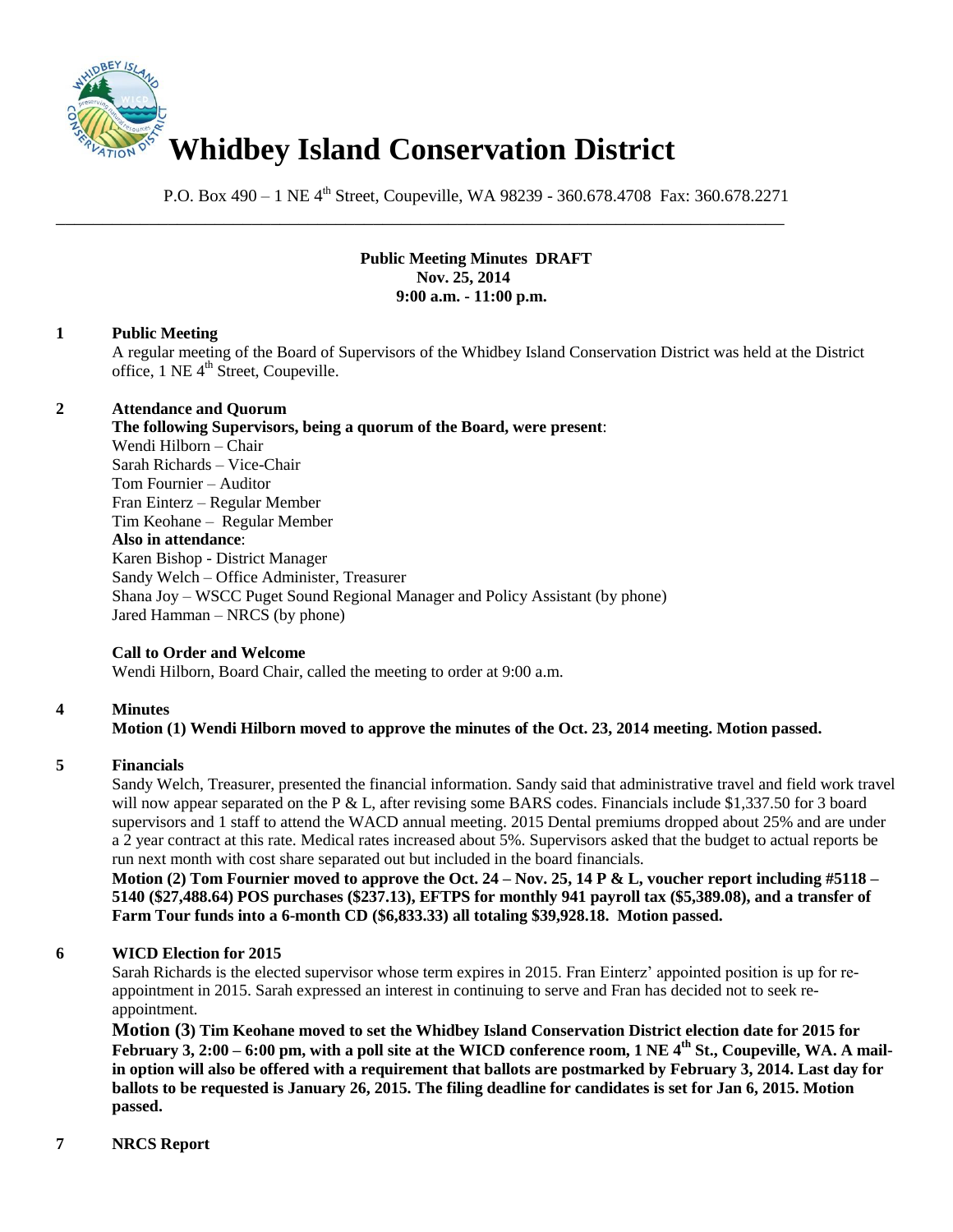

P.O. Box 490 – 1 NE 4<sup>th</sup> Street, Coupeville, WA 98239 - 360.678.4708 Fax: 360.678.2271

\_\_\_\_\_\_\_\_\_\_\_\_\_\_\_\_\_\_\_\_\_\_\_\_\_\_\_\_\_\_\_\_\_\_\_\_\_\_\_\_\_\_\_\_\_\_\_\_\_\_\_\_\_\_\_\_\_\_\_\_\_\_\_\_\_\_\_\_\_\_\_\_\_\_\_\_\_\_

# **Public Meeting Minutes DRAFT Nov. 25, 2014 9:00 a.m. - 11:00 p.m.**

#### **1 Public Meeting**

A regular meeting of the Board of Supervisors of the Whidbey Island Conservation District was held at the District office, 1 NE 4<sup>th</sup> Street, Coupeville.

#### **2 Attendance and Quorum**

**The following Supervisors, being a quorum of the Board, were present**: Wendi Hilborn – Chair Sarah Richards – Vice-Chair Tom Fournier – Auditor Fran Einterz – Regular Member Tim Keohane – Regular Member **Also in attendance**: Karen Bishop - District Manager Sandy Welch – Office Administer, Treasurer Shana Joy – WSCC Puget Sound Regional Manager and Policy Assistant (by phone) Jared Hamman – NRCS (by phone)

# **Call to Order and Welcome**

Wendi Hilborn, Board Chair, called the meeting to order at 9:00 a.m.

# **4 Minutes**

# **Motion (1) Wendi Hilborn moved to approve the minutes of the Oct. 23, 2014 meeting. Motion passed.**

#### **5 Financials**

Sandy Welch, Treasurer, presented the financial information. Sandy said that administrative travel and field work travel will now appear separated on the P & L, after revising some BARS codes. Financials include \$1,337.50 for 3 board supervisors and 1 staff to attend the WACD annual meeting. 2015 Dental premiums dropped about 25% and are under a 2 year contract at this rate. Medical rates increased about 5%. Supervisors asked that the budget to actual reports be run next month with cost share separated out but included in the board financials.

**Motion (2) Tom Fournier moved to approve the Oct. 24 – Nov. 25, 14 P & L, voucher report including #5118 – 5140 (\$27,488.64) POS purchases (\$237.13), EFTPS for monthly 941 payroll tax (\$5,389.08), and a transfer of Farm Tour funds into a 6-month CD (\$6,833.33) all totaling \$39,928.18. Motion passed.** 

# **6 WICD Election for 2015**

Sarah Richards is the elected supervisor whose term expires in 2015. Fran Einterz' appointed position is up for reappointment in 2015. Sarah expressed an interest in continuing to serve and Fran has decided not to seek reappointment.

**Motion (3) Tim Keohane moved to set the Whidbey Island Conservation District election date for 2015 for February 3, 2:00 – 6:00 pm, with a poll site at the WICD conference room, 1 NE 4th St., Coupeville, WA. A mailin option will also be offered with a requirement that ballots are postmarked by February 3, 2014. Last day for ballots to be requested is January 26, 2015. The filing deadline for candidates is set for Jan 6, 2015. Motion passed.**

# **7 NRCS Report**